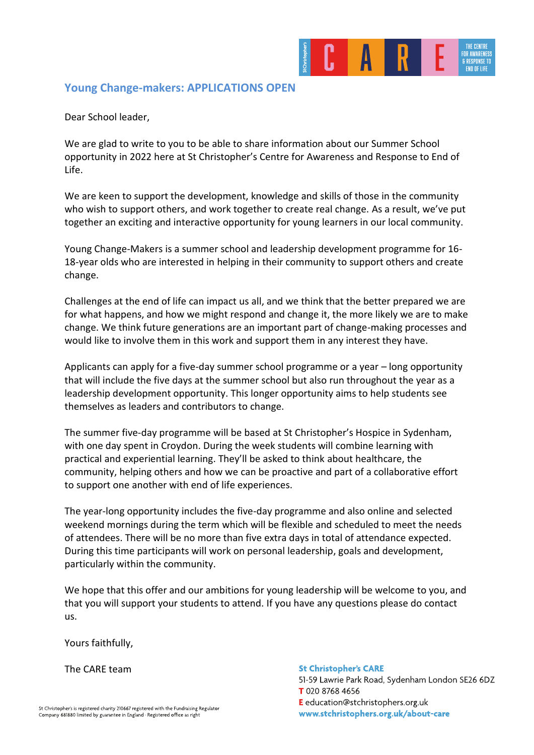

# **Young Change-makers: APPLICATIONS OPEN**

Dear School leader,

We are glad to write to you to be able to share information about our Summer School opportunity in 2022 here at St Christopher's Centre for Awareness and Response to End of Life.

We are keen to support the development, knowledge and skills of those in the community who wish to support others, and work together to create real change. As a result, we've put together an exciting and interactive opportunity for young learners in our local community.

Young Change-Makers is a summer school and leadership development programme for 16- 18-year olds who are interested in helping in their community to support others and create change.

Challenges at the end of life can impact us all, and we think that the better prepared we are for what happens, and how we might respond and change it, the more likely we are to make change. We think future generations are an important part of change-making processes and would like to involve them in this work and support them in any interest they have.

Applicants can apply for a five-day summer school programme or a year – long opportunity that will include the five days at the summer school but also run throughout the year as a leadership development opportunity. This longer opportunity aims to help students see themselves as leaders and contributors to change.

The summer five-day programme will be based at St Christopher's Hospice in Sydenham, with one day spent in Croydon. During the week students will combine learning with practical and experiential learning. They'll be asked to think about healthcare, the community, helping others and how we can be proactive and part of a collaborative effort to support one another with end of life experiences.

The year-long opportunity includes the five-day programme and also online and selected weekend mornings during the term which will be flexible and scheduled to meet the needs of attendees. There will be no more than five extra days in total of attendance expected. During this time participants will work on personal leadership, goals and development, particularly within the community.

We hope that this offer and our ambitions for young leadership will be welcome to you, and that you will support your students to attend. If you have any questions please do contact us.

Yours faithfully,

The CARE team

#### **St Christopher's CARE**

51-59 Lawrie Park Road, Sydenham London SE26 6DZ T 020 8768 4656 E education@stchristophers.org.uk www.stchristophers.org.uk/about-care